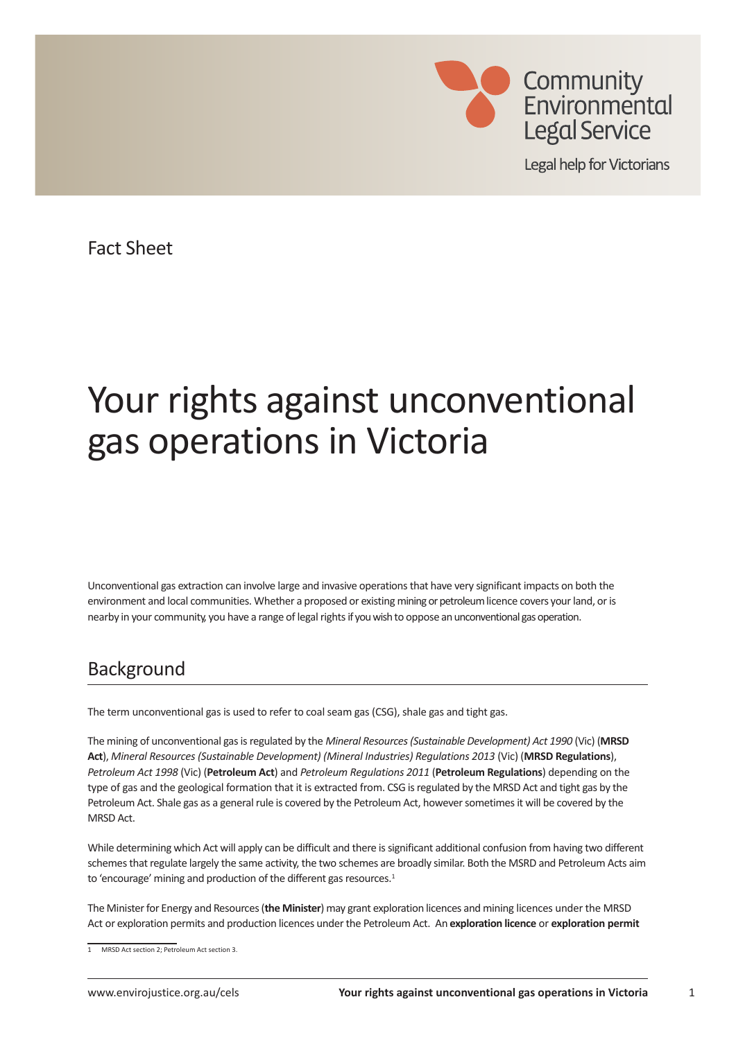

**Legal help for Victorians** 

Fact Sheet

# Your rights against unconventional gas operations in Victoria

Unconventional gas extraction can involve large and invasive operations that have very significant impacts on both the environment and local communities. Whether a proposed or existing mining or petroleum licence covers your land, or is nearby in your community, you have a range of legal rights if you wish to oppose an unconventional gas operation.

# **Background**

The term unconventional gas is used to refer to coal seam gas (CSG), shale gas and tight gas.

The mining of unconventional gas is regulated by the *Mineral Resources (Sustainable Development) Act 1990* (Vic) (**MRSD Act**), *Mineral Resources (Sustainable Development) (Mineral Industries) Regulations 2013* (Vic) (**MRSD Regulations**), *Petroleum Act 1998* (Vic) (**Petroleum Act**) and *Petroleum Regulations 2011* (**Petroleum Regulations**) depending on the type of gas and the geological formation that it is extracted from. CSG is regulated by the MRSD Act and tight gas by the Petroleum Act. Shale gas as a general rule is covered by the Petroleum Act, however sometimes it will be covered by the MRSD Act.

While determining which Act will apply can be difficult and there is significant additional confusion from having two different schemes that regulate largely the same activity, the two schemes are broadly similar. Both the MSRD and Petroleum Acts aim to 'encourage' mining and production of the different gas resources.<sup>1</sup>

The Minister for Energy and Resources (**the Minister**) may grant exploration licences and mining licences under the MRSD Act or exploration permits and production licences under the Petroleum Act. An **exploration licence** or **exploration permit** 

<sup>1</sup> MRSD Act section 2; Petroleum Act section 3.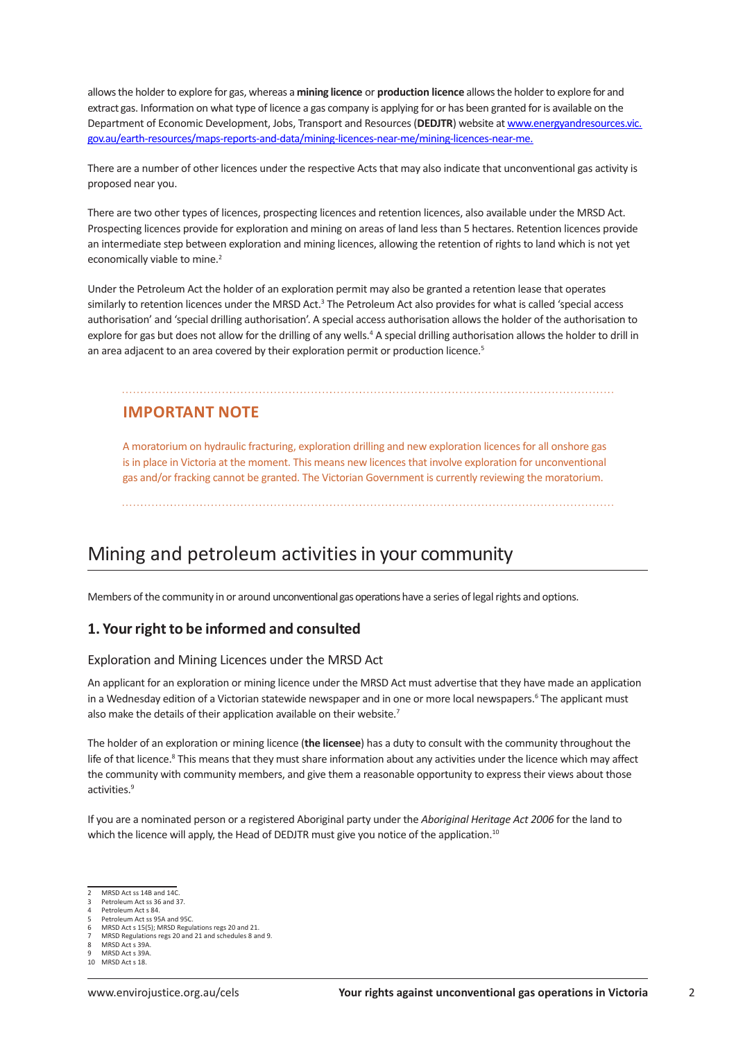allows the holder to explore for gas, whereas a **mining licence** or **production licence** allows the holder to explore for and extract gas. Information on what type of licence a gas company is applying for or has been granted for is available on the Department of Economic Development, Jobs, Transport and Resources (**DEDJTR**) website at www.energyandresources.vic. gov.au/earth-resources/maps-reports-and-data/mining-licences-near-me/mining-licences-near-me.

There are a number of other licences under the respective Acts that may also indicate that unconventional gas activity is proposed near you.

There are two other types of licences, prospecting licences and retention licences, also available under the MRSD Act. Prospecting licences provide for exploration and mining on areas of land less than 5 hectares. Retention licences provide an intermediate step between exploration and mining licences, allowing the retention of rights to land which is not yet economically viable to mine.<sup>2</sup>

Under the Petroleum Act the holder of an exploration permit may also be granted a retention lease that operates similarly to retention licences under the MRSD Act.<sup>3</sup> The Petroleum Act also provides for what is called 'special access authorisation' and 'special drilling authorisation'. A special access authorisation allows the holder of the authorisation to explore for gas but does not allow for the drilling of any wells.<sup>4</sup> A special drilling authorisation allows the holder to drill in an area adjacent to an area covered by their exploration permit or production licence.<sup>5</sup>

# **IMPORTANT NOTE**

A moratorium on hydraulic fracturing, exploration drilling and new exploration licences for all onshore gas is in place in Victoria at the moment. This means new licences that involve exploration for unconventional gas and/or fracking cannot be granted. The Victorian Government is currently reviewing the moratorium.

# Mining and petroleum activities in your community

Members of the community in or around unconventional gas operations have a series of legal rights and options.

## **1. Your right to be informed and consulted**

#### Exploration and Mining Licences under the MRSD Act

An applicant for an exploration or mining licence under the MRSD Act must advertise that they have made an application in a Wednesday edition of a Victorian statewide newspaper and in one or more local newspapers.<sup>6</sup> The applicant must also make the details of their application available on their website.<sup>7</sup>

The holder of an exploration or mining licence (**the licensee**) has a duty to consult with the community throughout the life of that licence.<sup>8</sup> This means that they must share information about any activities under the licence which may affect the community with community members, and give them a reasonable opportunity to express their views about those activities.<sup>9</sup>

If you are a nominated person or a registered Aboriginal party under the *Aboriginal Heritage Act 2006* for the land to which the licence will apply, the Head of DEDJTR must give you notice of the application.<sup>10</sup>

<sup>2</sup> MRSD Act ss 14B and 14C.

<sup>3</sup> Petroleum Act ss 36 and 37.

Petroleum Act s 84

Petroleum Act ss 95A and 95C.

<sup>6</sup> MRSD Act s 15(5); MRSD Regulations regs 20 and 21. 7 MRSD Regulations regs 20 and 21 and schedules 8 and 9.

MRSD Act s 39A

MRSD Act s 39A.

<sup>10</sup> MRSD Act s 18.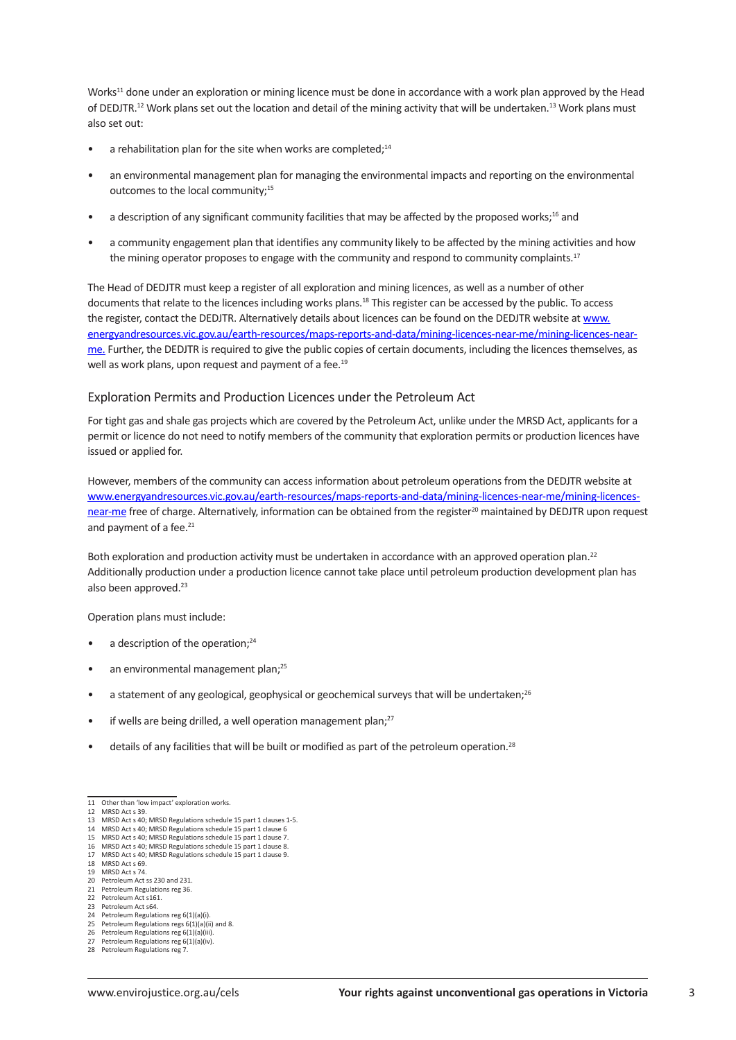Works<sup>11</sup> done under an exploration or mining licence must be done in accordance with a work plan approved by the Head of DEDJTR.12 Work plans set out the location and detail of the mining activity that will be undertaken.13 Work plans must also set out:

- a rehabilitation plan for the site when works are completed: $14$
- an environmental management plan for managing the environmental impacts and reporting on the environmental outcomes to the local community;<sup>15</sup>
- a description of any significant community facilities that may be affected by the proposed works;<sup>16</sup> and
- a community engagement plan that identifies any community likely to be affected by the mining activities and how the mining operator proposes to engage with the community and respond to community complaints.<sup>17</sup>

The Head of DEDJTR must keep a register of all exploration and mining licences, as well as a number of other documents that relate to the licences including works plans.18 This register can be accessed by the public. To access the register, contact the DEDJTR. Alternatively details about licences can be found on the DEDJTR website at www. energyandresources.vic.gov.au/earth-resources/maps-reports-and-data/mining-licences-near-me/mining-licences-nearme. Further, the DEDJTR is required to give the public copies of certain documents, including the licences themselves, as well as work plans, upon request and payment of a fee.<sup>19</sup>

#### Exploration Permits and Production Licences under the Petroleum Act

For tight gas and shale gas projects which are covered by the Petroleum Act, unlike under the MRSD Act, applicants for a permit or licence do not need to notify members of the community that exploration permits or production licences have issued or applied for.

However, members of the community can access information about petroleum operations from the DEDJTR website at www.energyandresources.vic.gov.au/earth-resources/maps-reports-and-data/mining-licences-near-me/mining-licencesnear-me free of charge. Alternatively, information can be obtained from the register<sup>20</sup> maintained by DEDJTR upon request and payment of a fee.<sup>21</sup>

Both exploration and production activity must be undertaken in accordance with an approved operation plan.<sup>22</sup> Additionally production under a production licence cannot take place until petroleum production development plan has also been approved.<sup>23</sup>

Operation plans must include:

- $\bullet$  a description of the operation;<sup>24</sup>
- an environmental management plan;<sup>25</sup>
- $\bullet$  a statement of any geological, geophysical or geochemical surveys that will be undertaken;<sup>26</sup>
- if wells are being drilled, a well operation management plan;<sup>27</sup>
- details of any facilities that will be built or modified as part of the petroleum operation.<sup>28</sup>

- 
- 
- 19 MRSD Act s 74.
- 20 Petroleum Act ss 230 and 231.<br>21 Petroleum Regulations reg 36
- 21 Petroleum Regulations reg 36. 22 Petroleum Act s161.
- 23 Petroleum Act s64
- Petroleum Regulations reg 6(1)(a)(i). 25 Petroleum Regulations regs  $6(1)(a)(ii)$  and 8.
- 26 Petroleum Regulations reg  $6(1)(a)(iii)$
- 27 Petroleum Regulations reg 6(1)(a)(iv)

<sup>11</sup> Other than 'low impact' exploration works.

<sup>12</sup> MRSD Act s 39.

<sup>13</sup> MRSD Act s 40; MRSD Regulations schedule 15 part 1 clauses 1-5.

<sup>14</sup> MRSD Act s 40; MRSD Regulations schedule 15 part 1 clause 6<br>15 MRSD Act s 40; MRSD Regulations schedule 15 part 1 clause 6

MRSD Act s 40; MRSD Regulations schedule 15 part 1 clause 7.<br>MRSD Act s 40; MRSD Regulations schedule 15 part 1 clause 8. 16 MRSD Act s 40; MRSD Regulations schedule 15 part 1 clause 8. 17 MRSD Act s 40; MRSD Regulations schedule 15 part 1 clause 9. 18 MRSD Act s 69.

<sup>28</sup> Petroleum Regulations reg 7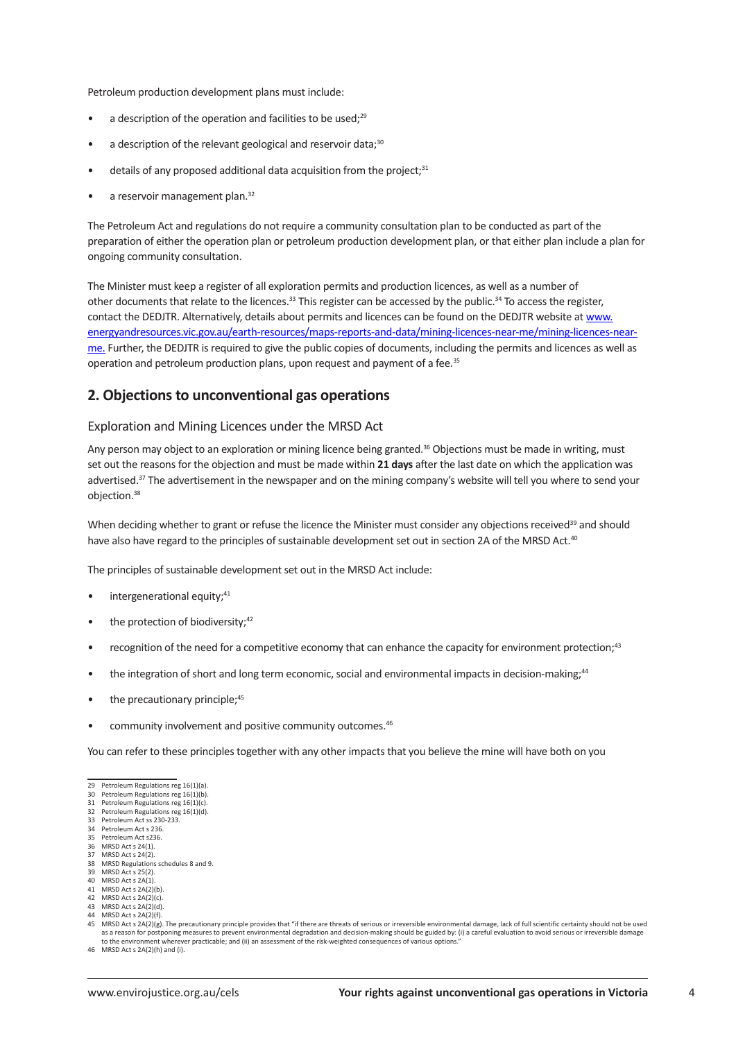Petroleum production development plans must include:

- $\bullet$  a description of the operation and facilities to be used;<sup>29</sup>
- $\bullet$  a description of the relevant geological and reservoir data;<sup>30</sup>
- details of any proposed additional data acquisition from the proiect:<sup>31</sup>
- a reservoir management plan.<sup>32</sup>

The Petroleum Act and regulations do not require a community consultation plan to be conducted as part of the preparation of either the operation plan or petroleum production development plan, or that either plan include a plan for ongoing community consultation.

The Minister must keep a register of all exploration permits and production licences, as well as a number of other documents that relate to the licences.33 This register can be accessed by the public.34 To access the register, contact the DEDJTR. Alternatively, details about permits and licences can be found on the DEDJTR website at www. energyandresources.vic.gov.au/earth-resources/maps-reports-and-data/mining-licences-near-me/mining-licences-nearme. Further, the DEDJTR is required to give the public copies of documents, including the permits and licences as well as operation and petroleum production plans, upon request and payment of a fee.<sup>35</sup>

# **2. Objections to unconventional gas operations**

#### Exploration and Mining Licences under the MRSD Act

Any person may object to an exploration or mining licence being granted.<sup>36</sup> Objections must be made in writing, must set out the reasons for the objection and must be made within **21 days** after the last date on which the application was advertised.<sup>37</sup> The advertisement in the newspaper and on the mining company's website will tell you where to send your objection.38

When deciding whether to grant or refuse the licence the Minister must consider any objections received<sup>39</sup> and should have also have regard to the principles of sustainable development set out in section 2A of the MRSD Act.40

The principles of sustainable development set out in the MRSD Act include:

- intergenerational equity;<sup>41</sup>
- the protection of biodiversity;<sup>42</sup>
- recognition of the need for a competitive economy that can enhance the capacity for environment protection;<sup>43</sup>
- the integration of short and long term economic, social and environmental impacts in decision-making;<sup>44</sup>
- the precautionary principle;<sup>45</sup>
- community involvement and positive community outcomes.<sup>46</sup>

You can refer to these principles together with any other impacts that you believe the mine will have both on you

- 39 MRSD Act s 25(2).
- 40 MRSD Act s 2A(1).
- $41$  MRSD Act s  $2\Delta(2)(h)$ 42 MRSD Act  $\frac{2A(2)}{C}$ .
- 43 MRSD Act s 2A(2)(d).
- $MRSD Acts 2A(2)(f)$

<sup>29</sup> Petroleum Regulations reg 16(1)(a). 30 Petroleum Regulations reg 16(1)(b).

<sup>31</sup> Petroleum Regulations reg 16(1)(c).

<sup>32</sup> Petroleum Regulations reg 16(1)(d).

<sup>33</sup> Petroleum Act ss 230-233. 34 Petroleum Act s 236.

<sup>35</sup> Petroleum Act s236.

MRSD Act s 24(1).

<sup>37</sup> MRSD Act s 24(2). 38 MRSD Regulations schedules 8 and 9.

<sup>45</sup> MRSD Act s 2A(2)(g). The precautionary principle provides that "if there are threats of serious or irreversible environmental damage, lack of full scientific certainty should not be used as a reason for postponing measures to prevent environmental degradation and decision-making should be guided by: (i) a careful evaluation to avoid serious or irreversible damage to the environment wherever practicable; and (ii) an assessment of the risk-weighted consequences of various option

<sup>46</sup> MRSD Act s 2A(2)(h) and (i).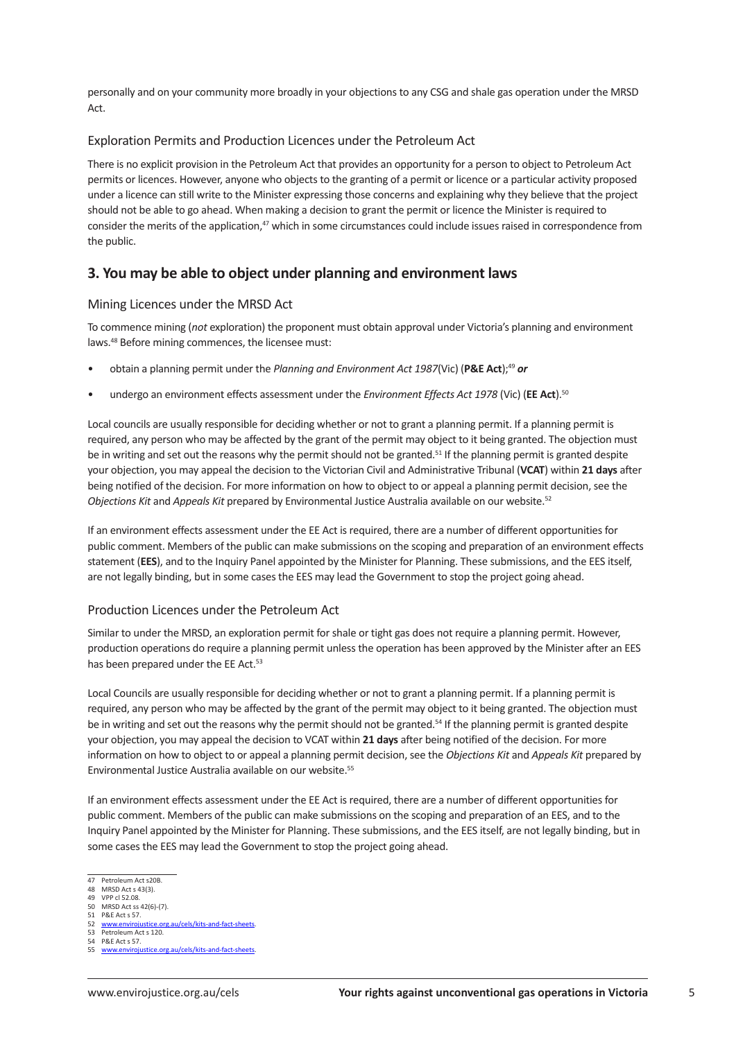personally and on your community more broadly in your objections to any CSG and shale gas operation under the MRSD Act.

## Exploration Permits and Production Licences under the Petroleum Act

There is no explicit provision in the Petroleum Act that provides an opportunity for a person to object to Petroleum Act permits or licences. However, anyone who objects to the granting of a permit or licence or a particular activity proposed under a licence can still write to the Minister expressing those concerns and explaining why they believe that the project should not be able to go ahead. When making a decision to grant the permit or licence the Minister is required to consider the merits of the application, $47$  which in some circumstances could include issues raised in correspondence from the public.

# **3. You may be able to object under planning and environment laws**

#### Mining Licences under the MRSD Act

To commence mining (*not* exploration) the proponent must obtain approval under Victoria's planning and environment laws.48 Before mining commences, the licensee must:

- obtain a planning permit under the *Planning and Environment Act 1987*(Vic) (P&E Act);<sup>49</sup> or
- undergo an environment effects assessment under the *Environment Effects Act 1978* (Vic) (EE Act).<sup>50</sup>

Local councils are usually responsible for deciding whether or not to grant a planning permit. If a planning permit is required, any person who may be affected by the grant of the permit may object to it being granted. The objection must be in writing and set out the reasons why the permit should not be granted.<sup>51</sup> If the planning permit is granted despite your objection, you may appeal the decision to the Victorian Civil and Administrative Tribunal (**VCAT**) within **21 days** after being notified of the decision. For more information on how to object to or appeal a planning permit decision, see the *Objections Kit* and *Appeals Kit* prepared by Environmental Justice Australia available on our website.52

If an environment effects assessment under the EE Act is required, there are a number of different opportunities for public comment. Members of the public can make submissions on the scoping and preparation of an environment effects statement (**EES**), and to the Inquiry Panel appointed by the Minister for Planning. These submissions, and the EES itself, are not legally binding, but in some cases the EES may lead the Government to stop the project going ahead.

## Production Licences under the Petroleum Act

Similar to under the MRSD, an exploration permit for shale or tight gas does not require a planning permit. However, production operations do require a planning permit unless the operation has been approved by the Minister after an EES has been prepared under the EE Act.<sup>53</sup>

Local Councils are usually responsible for deciding whether or not to grant a planning permit. If a planning permit is required, any person who may be affected by the grant of the permit may object to it being granted. The objection must be in writing and set out the reasons why the permit should not be granted.<sup>54</sup> If the planning permit is granted despite your objection, you may appeal the decision to VCAT within **21 days** after being notified of the decision. For more information on how to object to or appeal a planning permit decision, see the *Objections Kit* and *Appeals Kit* prepared by Environmental Justice Australia available on our website.55

If an environment effects assessment under the EE Act is required, there are a number of different opportunities for public comment. Members of the public can make submissions on the scoping and preparation of an EES, and to the Inquiry Panel appointed by the Minister for Planning. These submissions, and the EES itself, are not legally binding, but in some cases the EES may lead the Government to stop the project going ahead.

<sup>47</sup> Petroleum Act s20B.

<sup>48</sup> MRSD Act s 43(3).<br>49 VPP cl 52.08.

<sup>49</sup> VPP cl 52.08 50 MRSD Act ss 42(6)-(7).

<sup>51</sup> P&E Act s 57.

www.enviroiustice.org.au/cels/kits-and-fact-sheets

<sup>53</sup> Petroleum Act s 120. 54 P&E Act s 57.

<sup>55</sup> www.envirojustice.org.au/cels/kits-and-fact-sheets.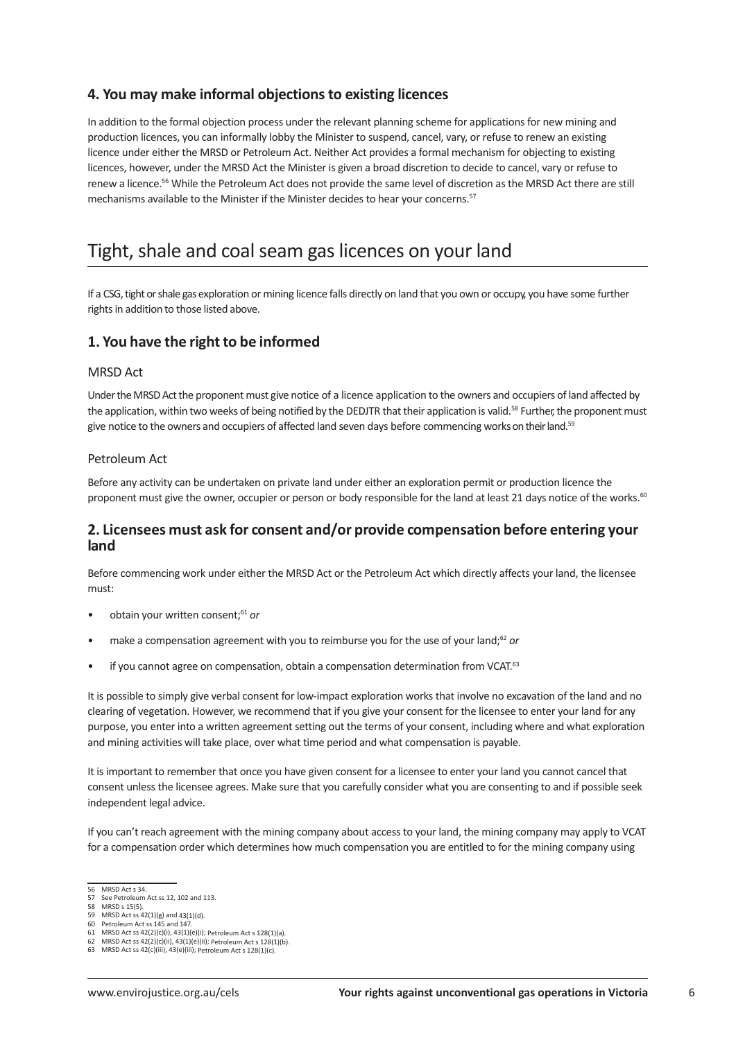# **4. You may make informal objections to existing licences**

In addition to the formal objection process under the relevant planning scheme for applications for new mining and production licences, you can informally lobby the Minister to suspend, cancel, vary, or refuse to renew an existing licence under either the MRSD or Petroleum Act. Neither Act provides a formal mechanism for objecting to existing licences, however, under the MRSD Act the Minister is given a broad discretion to decide to cancel, vary or refuse to renew a licence.56 While the Petroleum Act does not provide the same level of discretion as the MRSD Act there are still mechanisms available to the Minister if the Minister decides to hear your concerns.<sup>57</sup>

# Tight, shale and coal seam gas licences on your land

If a CSG, tight or shale gas exploration or mining licence falls directly on land that you own or occupy, you have some further rights in addition to those listed above.

# **1. You have the right to be informed**

## MRSD Act

Under the MRSD Act the proponent must give notice of a licence application to the owners and occupiers of land affected by the application, within two weeks of being notified by the DEDJTR that their application is valid.<sup>58</sup> Further, the proponent must give notice to the owners and occupiers of affected land seven days before commencing works on their land.<sup>59</sup>

## Petroleum Act

Before any activity can be undertaken on private land under either an exploration permit or production licence the proponent must give the owner, occupier or person or body responsible for the land at least 21 days notice of the works.<sup>60</sup>

# **2. Licensees must ask for consent and/or provide compensation before entering your land**

Before commencing work under either the MRSD Act or the Petroleum Act which directly affects your land, the licensee must:

- obtain your written consent;<sup>61</sup> or
- make a compensation agreement with you to reimburse you for the use of your land;<sup>62</sup> or
- if you cannot agree on compensation, obtain a compensation determination from VCAT.<sup>63</sup>

It is possible to simply give verbal consent for low-impact exploration works that involve no excavation of the land and no clearing of vegetation. However, we recommend that if you give your consent for the licensee to enter your land for any purpose, you enter into a written agreement setting out the terms of your consent, including where and what exploration and mining activities will take place, over what time period and what compensation is payable.

It is important to remember that once you have given consent for a licensee to enter your land you cannot cancel that consent unless the licensee agrees. Make sure that you carefully consider what you are consenting to and if possible seek independent legal advice.

If you can't reach agreement with the mining company about access to your land, the mining company may apply to VCAT for a compensation order which determines how much compensation you are entitled to for the mining company using

<sup>56</sup> MRSD Act s 34.

<sup>57</sup> See Petroleum Act ss 12, 102 and 113.

<sup>58</sup> MRSD s 15(5).

 $MRSD 3 15(5)$ :<br>MRSD Act ss 42(1)(g) and 43(1)(d). 60 Petroleum Act ss 145 and 147*.* 

<sup>61</sup> MRSD Act ss 42(2)(c)(i), 43(1)(e)(i); Petroleum Act s 128(1)(a).

<sup>62</sup> MRSD Act ss 42(2)(c)(ii), 43(1)(e)(ii); Petroleum Act s 128(1)(b). 63 MRSD Act ss 42(c)(iii), 43(e)(iii); Petroleum Act s 128(1)(c).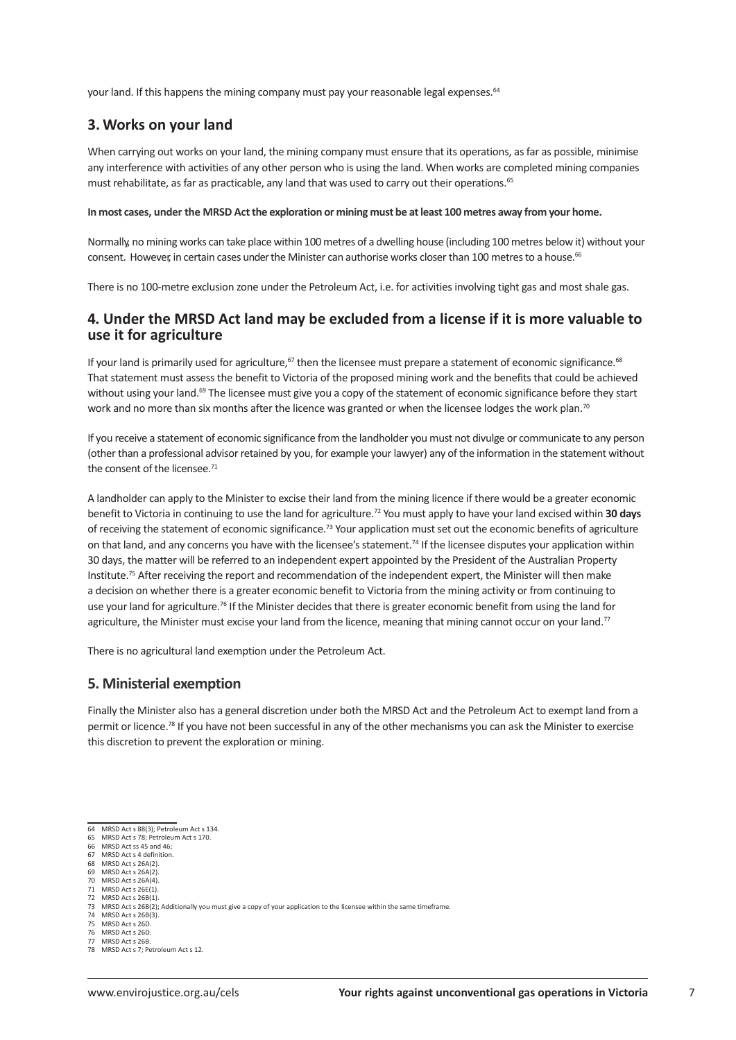your land. If this happens the mining company must pay your reasonable legal expenses.<sup>64</sup>

# **3. Works on your land**

When carrying out works on your land, the mining company must ensure that its operations, as far as possible, minimise any interference with activities of any other person who is using the land. When works are completed mining companies must rehabilitate, as far as practicable, any land that was used to carry out their operations.<sup>65</sup>

#### **In most cases, under the MRSD Act the exploration or mining must be at least 100 metres away from your home.**

Normally, no mining works can take place within 100 metres of a dwelling house (including 100 metres below it) without your consent. However, in certain cases under the Minister can authorise works closer than 100 metres to a house.<sup>66</sup>

There is no 100-metre exclusion zone under the Petroleum Act, i.e. for activities involving tight gas and most shale gas.

# **4. Under the MRSD Act land may be excluded from a license if it is more valuable to use it for agriculture**

If your land is primarily used for agriculture,<sup>67</sup> then the licensee must prepare a statement of economic significance.<sup>68</sup> That statement must assess the benefit to Victoria of the proposed mining work and the benefits that could be achieved without using your land.<sup>69</sup> The licensee must give you a copy of the statement of economic significance before they start work and no more than six months after the licence was granted or when the licensee lodges the work plan.<sup>70</sup>

If you receive a statement of economic significance from the landholder you must not divulge or communicate to any person (other than a professional advisor retained by you, for example your lawyer) any of the information in the statement without the consent of the licensee.71

A landholder can apply to the Minister to excise their land from the mining licence if there would be a greater economic benefit to Victoria in continuing to use the land for agriculture.72 You must apply to have your land excised within **30 days** of receiving the statement of economic significance.73 Your application must set out the economic benefits of agriculture on that land, and any concerns you have with the licensee's statement.<sup>74</sup> If the licensee disputes your application within 30 days, the matter will be referred to an independent expert appointed by the President of the Australian Property Institute.75 After receiving the report and recommendation of the independent expert, the Minister will then make a decision on whether there is a greater economic benefit to Victoria from the mining activity or from continuing to use your land for agriculture.<sup>76</sup> If the Minister decides that there is greater economic benefit from using the land for agriculture, the Minister must excise your land from the licence, meaning that mining cannot occur on your land.<sup>77</sup>

There is no agricultural land exemption under the Petroleum Act.

## **5. Ministerial exemption**

Finally the Minister also has a general discretion under both the MRSD Act and the Petroleum Act to exempt land from a permit or licence.<sup>78</sup> If you have not been successful in any of the other mechanisms you can ask the Minister to exercise this discretion to prevent the exploration or mining.

70 MRSD Act s 26A(4).<br>71 MRSD Act s 26F(1).

- $MRSD Acts 26B(3)$ .
- 75 MRSD Act s 26D. 76 MRSD Act s 26D.

78 MRSD Act s 7; Petroleum Act s 12.

<sup>64</sup> MRSD Act s 88(3); Petroleum Act s 134. 65 MRSD Act s 78; Petroleum Act s 170.

MRSD Act ss 45 and 46;

<sup>67</sup> MRSD Act s 4 definition.<br>68 MRSD Act s 26A(2).

MRSD Act s 4 dcm

<sup>69</sup> MRSD Act s 26A(2).

<sup>71</sup> MRSD Act s 26E(1)<br>72 MRSD Act s 26B(1)  $MRSD Act S 26B(1)$ 

<sup>73</sup> MRSD Act s 26B(2); Additionally you must give a copy of your application to the licensee within the same timeframe.

<sup>77</sup> MRSD Act s 26B.